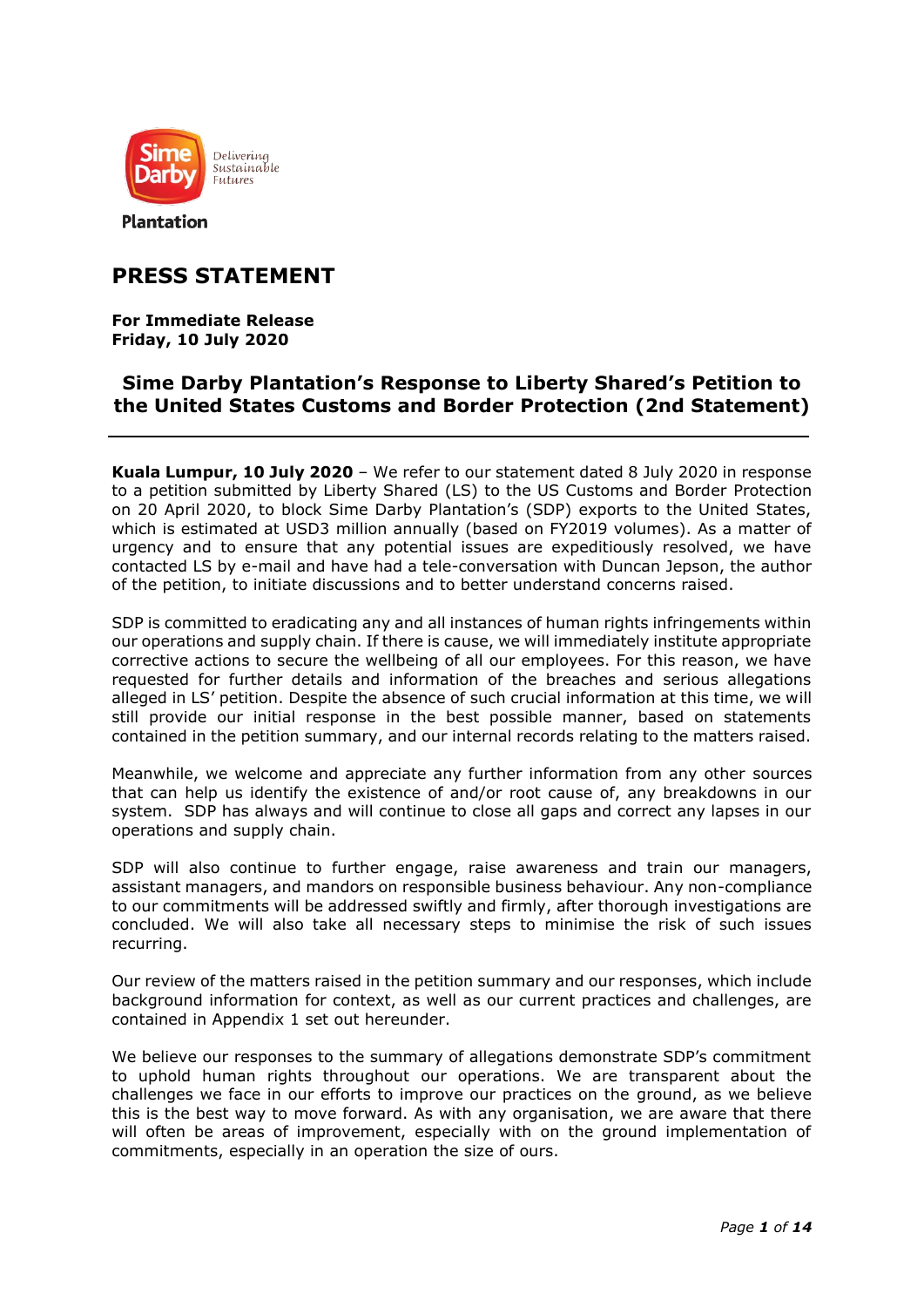

# **PRESS STATEMENT**

**For Immediate Release Friday, 10 July 2020**

## **Sime Darby Plantation's Response to Liberty Shared's Petition to the United States Customs and Border Protection (2nd Statement)**

**Kuala Lumpur, 10 July 2020** – We refer to our statement dated 8 July 2020 in response to a petition submitted by Liberty Shared (LS) to the US Customs and Border Protection on 20 April 2020, to block Sime Darby Plantation's (SDP) exports to the United States, which is estimated at USD3 million annually (based on FY2019 volumes). As a matter of urgency and to ensure that any potential issues are expeditiously resolved, we have contacted LS by e-mail and have had a tele-conversation with Duncan Jepson, the author of the petition, to initiate discussions and to better understand concerns raised.

SDP is committed to eradicating any and all instances of human rights infringements within our operations and supply chain. If there is cause, we will immediately institute appropriate corrective actions to secure the wellbeing of all our employees. For this reason, we have requested for further details and information of the breaches and serious allegations alleged in LS' petition. Despite the absence of such crucial information at this time, we will still provide our initial response in the best possible manner, based on statements contained in the petition summary, and our internal records relating to the matters raised.

Meanwhile, we welcome and appreciate any further information from any other sources that can help us identify the existence of and/or root cause of, any breakdowns in our system. SDP has always and will continue to close all gaps and correct any lapses in our operations and supply chain.

SDP will also continue to further engage, raise awareness and train our managers, assistant managers, and mandors on responsible business behaviour. Any non-compliance to our commitments will be addressed swiftly and firmly, after thorough investigations are concluded. We will also take all necessary steps to minimise the risk of such issues recurring.

Our review of the matters raised in the petition summary and our responses, which include background information for context, as well as our current practices and challenges, are contained in Appendix 1 set out hereunder.

We believe our responses to the summary of allegations demonstrate SDP's commitment to uphold human rights throughout our operations. We are transparent about the challenges we face in our efforts to improve our practices on the ground, as we believe this is the best way to move forward. As with any organisation, we are aware that there will often be areas of improvement, especially with on the ground implementation of commitments, especially in an operation the size of ours.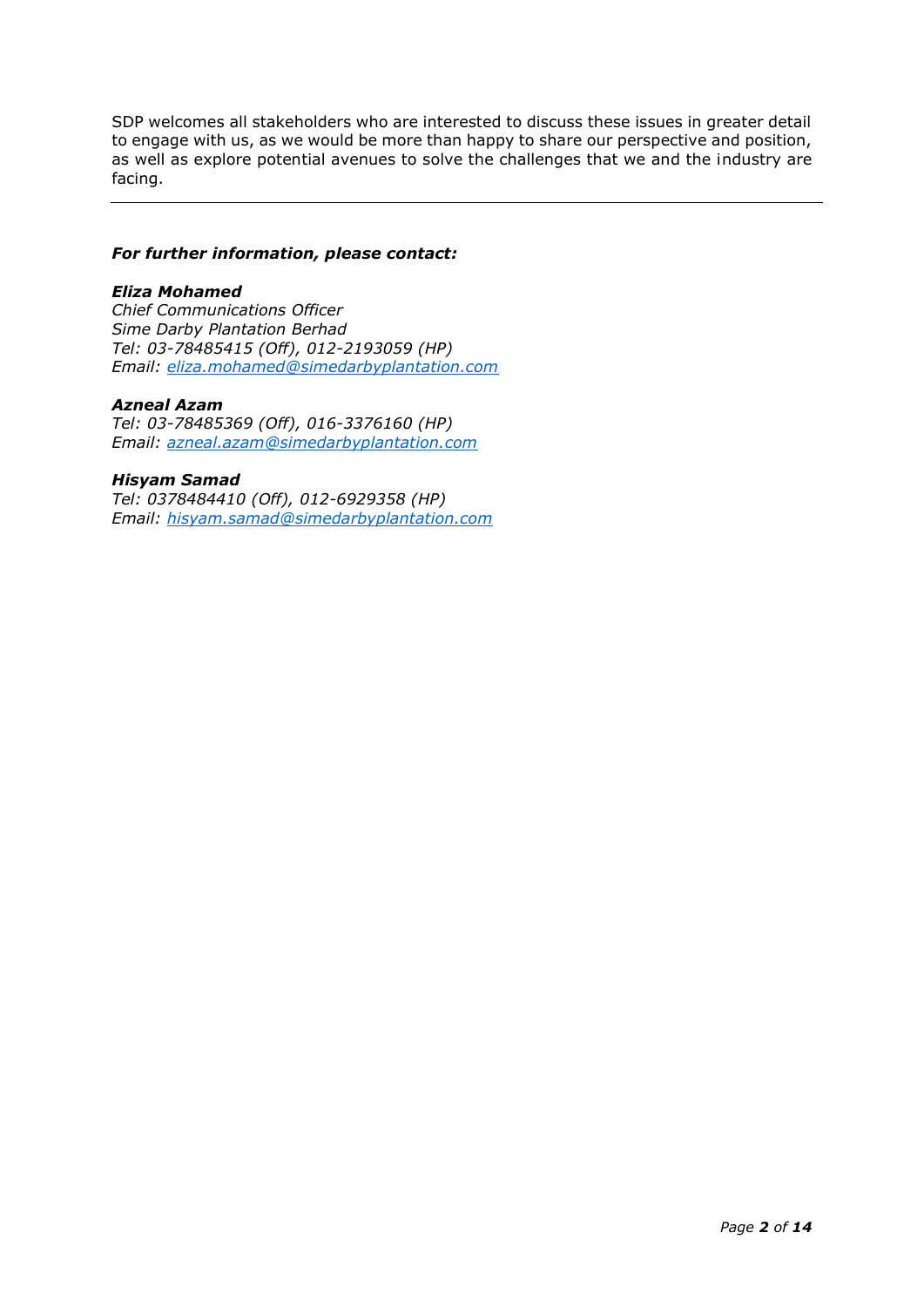SDP welcomes all stakeholders who are interested to discuss these issues in greater detail to engage with us, as we would be more than happy to share our perspective and position, as well as explore potential avenues to solve the challenges that we and the industry are facing.

#### *For further information, please contact:*

#### *Eliza Mohamed*

*Chief Communications Officer Sime Darby Plantation Berhad Tel: 03-78485415 (Off), 012-2193059 (HP) Email: [eliza.mohamed@simedarbyplantation.com](mailto:eliza.mohamed@simedarbyplantation.com)*

#### *Azneal Azam*

*Tel: 03-78485369 (Off), 016-3376160 (HP) Email: [azneal.azam@simedarbyplantation.com](mailto:azneal.azam@simedarbyplantation.com)*

#### *Hisyam Samad*

*[Tel: 0378484410](tel:0378484410) (Off), 012-6929358 (HP) Email: [hisyam.samad@simedarbyplantation.com](mailto:hisyam.samad@simedarbyplantation.com)*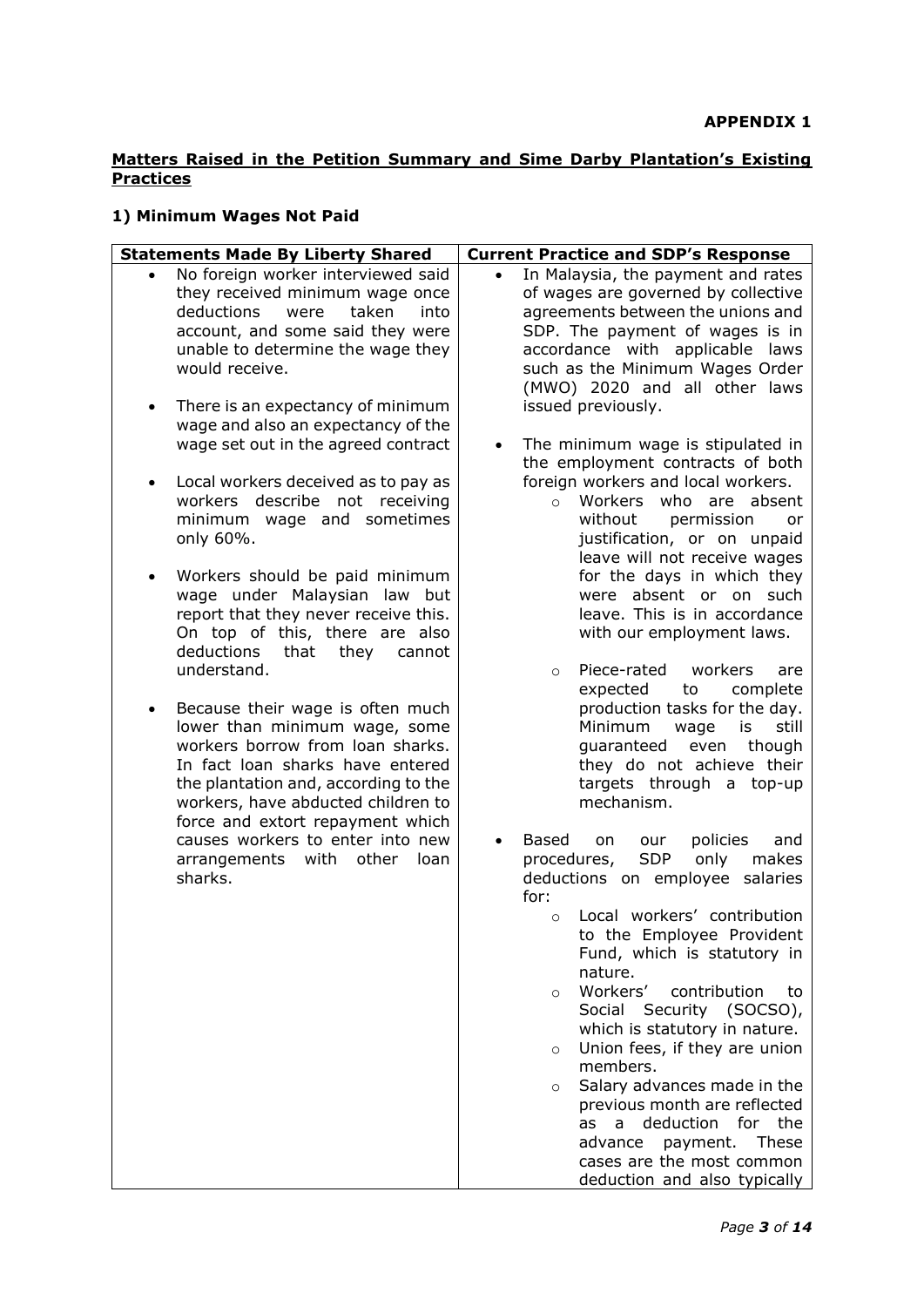#### **Matters Raised in the Petition Summary and Sime Darby Plantation's Existing Practices**

### **1) Minimum Wages Not Paid**

| <b>Statements Made By Liberty Shared</b>                                                                                                                                                                                                                                                                                                                                                                                                                                                                                                                                                                                                                             | <b>Current Practice and SDP's Response</b>                                                                                                                                                                                                                                                                                                                                                                                                                                                                                                                                                                                                                                                                                                                                                                                                                                                                                                                                                                                                                                                                                                                  |
|----------------------------------------------------------------------------------------------------------------------------------------------------------------------------------------------------------------------------------------------------------------------------------------------------------------------------------------------------------------------------------------------------------------------------------------------------------------------------------------------------------------------------------------------------------------------------------------------------------------------------------------------------------------------|-------------------------------------------------------------------------------------------------------------------------------------------------------------------------------------------------------------------------------------------------------------------------------------------------------------------------------------------------------------------------------------------------------------------------------------------------------------------------------------------------------------------------------------------------------------------------------------------------------------------------------------------------------------------------------------------------------------------------------------------------------------------------------------------------------------------------------------------------------------------------------------------------------------------------------------------------------------------------------------------------------------------------------------------------------------------------------------------------------------------------------------------------------------|
| No foreign worker interviewed said<br>they received minimum wage once<br>deductions<br>taken<br>were<br>into<br>account, and some said they were<br>unable to determine the wage they<br>would receive.<br>There is an expectancy of minimum<br>wage and also an expectancy of the<br>wage set out in the agreed contract                                                                                                                                                                                                                                                                                                                                            | In Malaysia, the payment and rates<br>$\bullet$<br>of wages are governed by collective<br>agreements between the unions and<br>SDP. The payment of wages is in<br>accordance with applicable laws<br>such as the Minimum Wages Order<br>(MWO) 2020 and all other laws<br>issued previously.<br>The minimum wage is stipulated in                                                                                                                                                                                                                                                                                                                                                                                                                                                                                                                                                                                                                                                                                                                                                                                                                            |
| Local workers deceived as to pay as<br>workers describe not receiving<br>minimum wage and sometimes<br>only 60%.<br>Workers should be paid minimum<br>wage under Malaysian law but<br>report that they never receive this.<br>On top of this, there are also<br>deductions<br>that<br>they<br>cannot<br>understand.<br>Because their wage is often much<br>lower than minimum wage, some<br>workers borrow from loan sharks.<br>In fact loan sharks have entered<br>the plantation and, according to the<br>workers, have abducted children to<br>force and extort repayment which<br>causes workers to enter into new<br>arrangements with other<br>loan<br>sharks. | the employment contracts of both<br>foreign workers and local workers.<br>Workers<br>who are absent<br>$\circ$<br>without<br>permission<br>or<br>justification, or on unpaid<br>leave will not receive wages<br>for the days in which they<br>were absent or on<br>such<br>leave. This is in accordance<br>with our employment laws.<br>workers<br>Piece-rated<br>are<br>$\circ$<br>expected<br>to<br>complete<br>production tasks for the day.<br>Minimum<br>still<br>wage<br>is<br>quaranteed<br>even<br>though<br>they do not achieve their<br>targets through a top-up<br>mechanism.<br>policies<br>Based<br>and<br>on<br>our<br><b>SDP</b><br>only<br>makes<br>procedures,<br>deductions on employee salaries<br>for:<br>Local workers' contribution<br>$\circ$<br>to the Employee Provident<br>Fund, which is statutory in<br>nature.<br>Workers'<br>contribution<br>to<br>$\circ$<br>Social Security (SOCSO),<br>which is statutory in nature.<br>Union fees, if they are union<br>$\circ$<br>members.<br>Salary advances made in the<br>$\circ$<br>previous month are reflected<br>deduction for<br>the<br>a.<br>as<br>These<br>advance<br>payment. |
|                                                                                                                                                                                                                                                                                                                                                                                                                                                                                                                                                                                                                                                                      | cases are the most common<br>deduction and also typically                                                                                                                                                                                                                                                                                                                                                                                                                                                                                                                                                                                                                                                                                                                                                                                                                                                                                                                                                                                                                                                                                                   |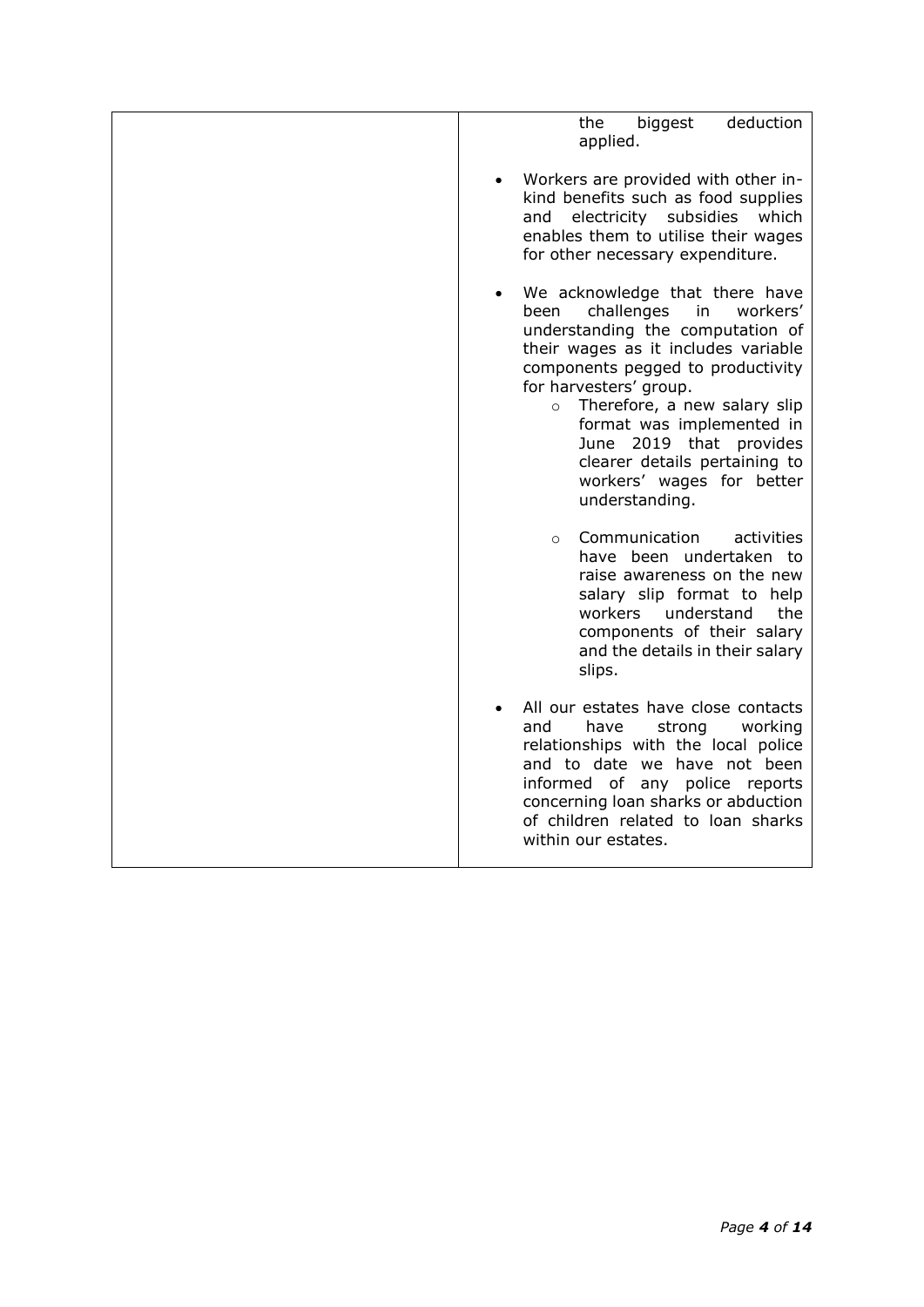| deduction<br>the<br>biggest<br>applied.                                                                                                                                                                                                                                                                                                                                                             |
|-----------------------------------------------------------------------------------------------------------------------------------------------------------------------------------------------------------------------------------------------------------------------------------------------------------------------------------------------------------------------------------------------------|
| Workers are provided with other in-<br>kind benefits such as food supplies<br>electricity subsidies<br>which<br>and<br>enables them to utilise their wages<br>for other necessary expenditure.                                                                                                                                                                                                      |
| We acknowledge that there have<br>challenges<br>been<br>in<br>workers'<br>understanding the computation of<br>their wages as it includes variable<br>components pegged to productivity<br>for harvesters' group.<br>Therefore, a new salary slip<br>$\circ$<br>format was implemented in<br>June 2019 that provides<br>clearer details pertaining to<br>workers' wages for better<br>understanding. |
| Communication<br>activities<br>$\circ$<br>have been undertaken to<br>raise awareness on the new<br>salary slip format to help<br>understand<br>the<br>workers<br>components of their salary<br>and the details in their salary<br>slips.                                                                                                                                                            |
| All our estates have close contacts<br>and<br>have<br>strong<br>working<br>relationships with the local police<br>and to date we have not been<br>informed of any police reports<br>concerning loan sharks or abduction<br>of children related to loan sharks<br>within our estates.                                                                                                                |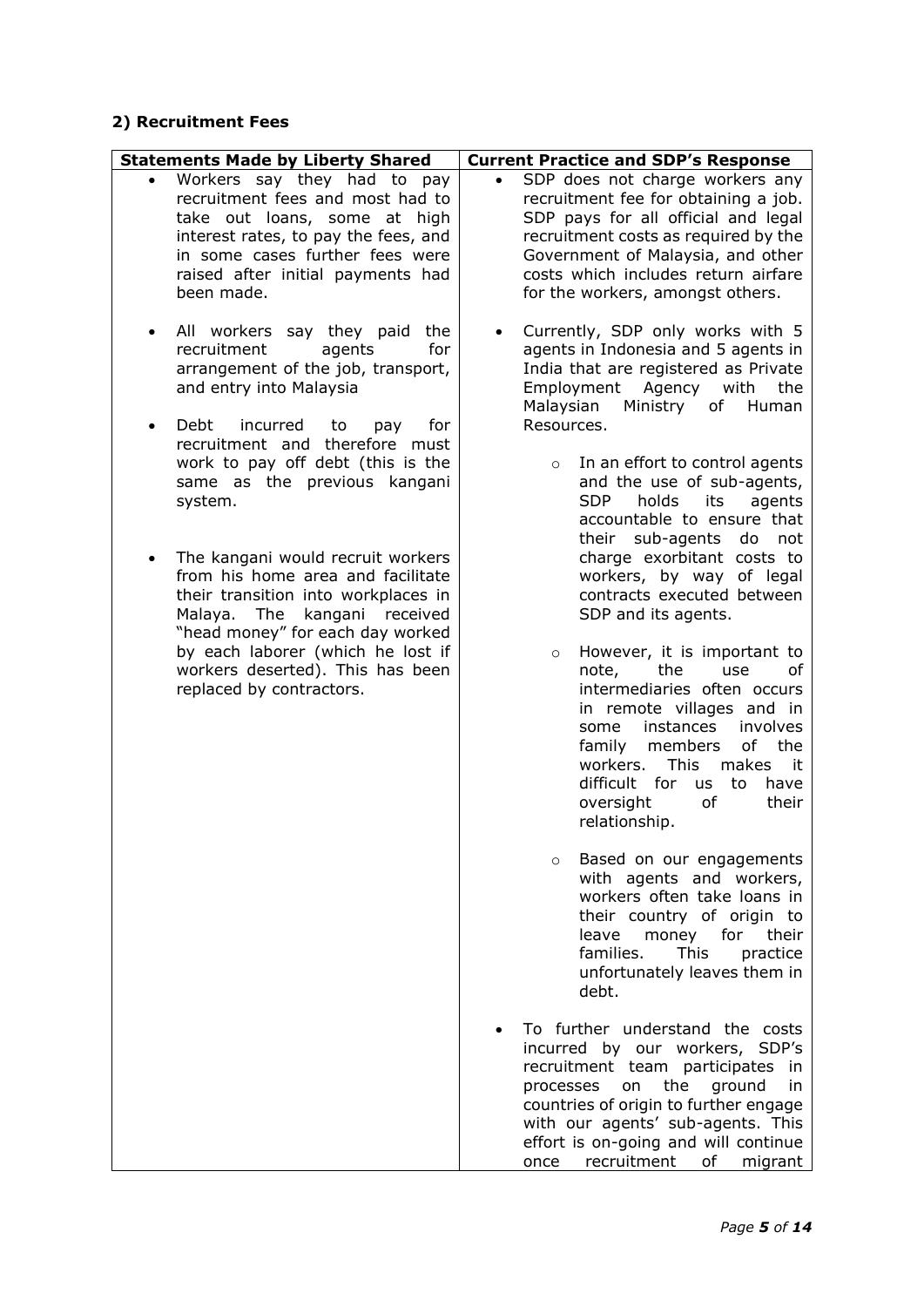# **2) Recruitment Fees**

| <b>Statements Made by Liberty Shared</b>                                                                                                                                                                                        | <b>Current Practice and SDP's Response</b>                                                                                                                                                                                                                                                           |
|---------------------------------------------------------------------------------------------------------------------------------------------------------------------------------------------------------------------------------|------------------------------------------------------------------------------------------------------------------------------------------------------------------------------------------------------------------------------------------------------------------------------------------------------|
| Workers say they had to pay<br>recruitment fees and most had to<br>take out loans, some at high<br>interest rates, to pay the fees, and<br>in some cases further fees were<br>raised after initial payments had<br>been made.   | SDP does not charge workers any<br>recruitment fee for obtaining a job.<br>SDP pays for all official and legal<br>recruitment costs as required by the<br>Government of Malaysia, and other<br>costs which includes return airfare<br>for the workers, amongst others.                               |
| All workers say they paid<br>the<br>for<br>recruitment<br>agents<br>arrangement of the job, transport,<br>and entry into Malaysia<br>Debt<br>incurred<br>for<br>to<br>pay                                                       | Currently, SDP only works with 5<br>agents in Indonesia and 5 agents in<br>India that are registered as Private<br>Employment Agency with<br>the<br>Malaysian<br>Ministry<br>of<br>Human<br>Resources.                                                                                               |
| recruitment and therefore must<br>work to pay off debt (this is the<br>same as the previous kangani<br>system.                                                                                                                  | In an effort to control agents<br>$\circ$<br>and the use of sub-agents,<br><b>SDP</b><br>holds<br>its<br>agents<br>accountable to ensure that<br>sub-agents<br>do<br>their<br>not                                                                                                                    |
| The kangani would recruit workers<br>from his home area and facilitate<br>their transition into workplaces in<br>Malaya.<br>The<br>kangani<br>received<br>"head money" for each day worked<br>by each laborer (which he lost if | charge exorbitant costs to<br>workers, by way of legal<br>contracts executed between<br>SDP and its agents.<br>However, it is important to<br>$\circ$                                                                                                                                                |
| workers deserted). This has been<br>replaced by contractors.                                                                                                                                                                    | the<br>note,<br>use<br>οf<br>intermediaries often occurs<br>in remote villages and in<br>instances<br>involves<br>some<br>family<br>members<br>of<br>the<br><b>This</b><br>workers.<br>makes<br>it<br>difficult for<br>have<br>to<br><b>us</b><br>oversight<br>of<br>their<br>relationship.          |
|                                                                                                                                                                                                                                 | Based on our engagements<br>$\circ$<br>with agents and workers,<br>workers often take loans in<br>their country of origin to<br>money for their<br>leave<br>This<br>families.<br>practice<br>unfortunately leaves them in<br>debt.                                                                   |
|                                                                                                                                                                                                                                 | To further understand the costs<br>incurred by our workers, SDP's<br>recruitment team participates in<br>processes on the ground<br>in<br>countries of origin to further engage<br>with our agents' sub-agents. This<br>effort is on-going and will continue<br>recruitment<br>of<br>migrant<br>once |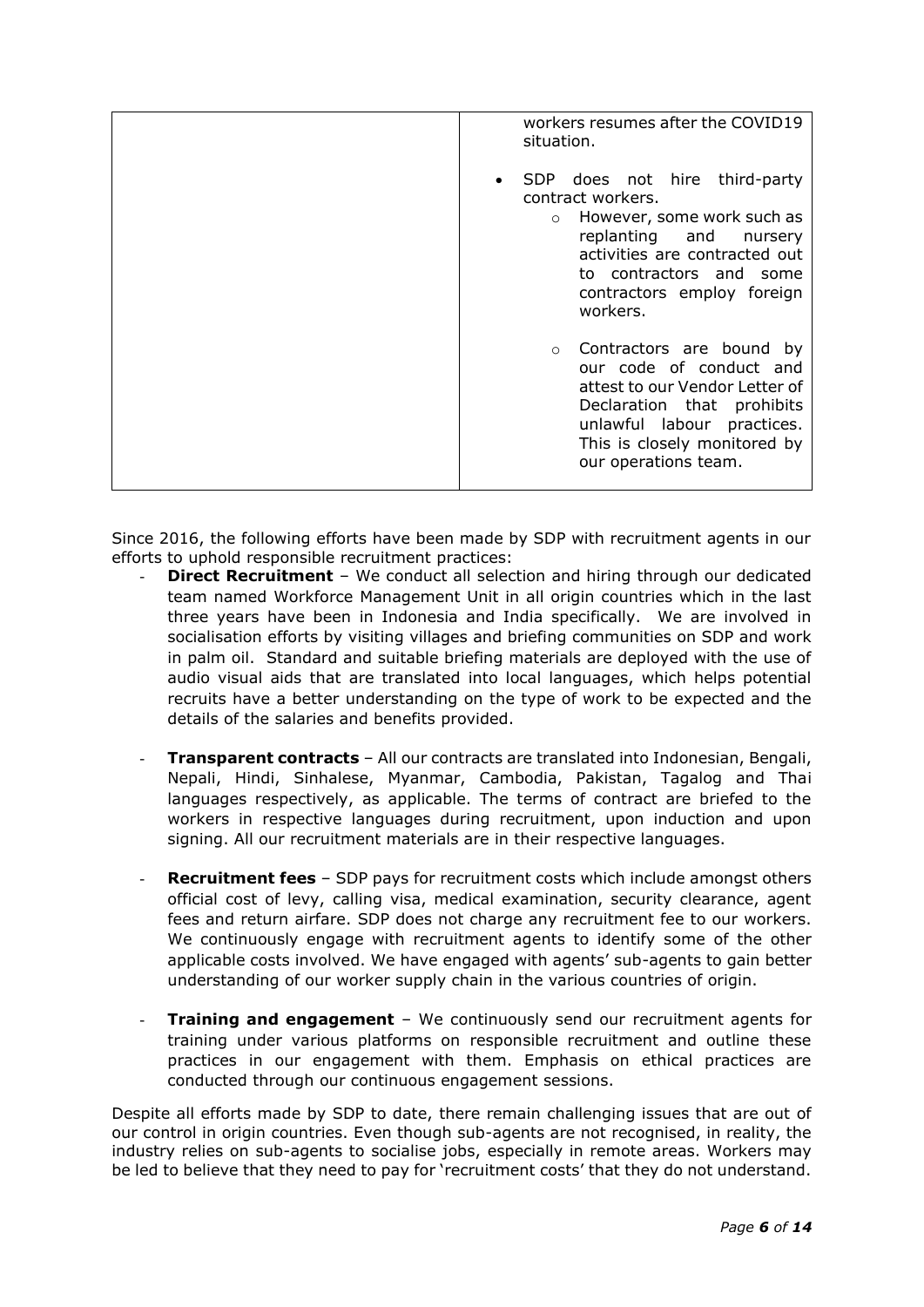| workers resumes after the COVID19<br>situation.                                                                                                                                                                                |
|--------------------------------------------------------------------------------------------------------------------------------------------------------------------------------------------------------------------------------|
| SDP does not hire third-party<br>contract workers.<br>However, some work such as<br>$\circ$<br>replanting and<br>nursery<br>activities are contracted out<br>to contractors and some<br>contractors employ foreign<br>workers. |
| Contractors are bound by<br>our code of conduct and<br>attest to our Vendor Letter of<br>Declaration that prohibits<br>unlawful labour practices.<br>This is closely monitored by<br>our operations team.                      |

Since 2016, the following efforts have been made by SDP with recruitment agents in our efforts to uphold responsible recruitment practices:

- **Direct Recruitment** We conduct all selection and hiring through our dedicated team named Workforce Management Unit in all origin countries which in the last three years have been in Indonesia and India specifically. We are involved in socialisation efforts by visiting villages and briefing communities on SDP and work in palm oil. Standard and suitable briefing materials are deployed with the use of audio visual aids that are translated into local languages, which helps potential recruits have a better understanding on the type of work to be expected and the details of the salaries and benefits provided.
- **Transparent contracts** All our contracts are translated into Indonesian, Bengali, Nepali, Hindi, Sinhalese, Myanmar, Cambodia, Pakistan, Tagalog and Thai languages respectively, as applicable. The terms of contract are briefed to the workers in respective languages during recruitment, upon induction and upon signing. All our recruitment materials are in their respective languages.
- **Recruitment fees** SDP pays for recruitment costs which include amongst others official cost of levy, calling visa, medical examination, security clearance, agent fees and return airfare. SDP does not charge any recruitment fee to our workers. We continuously engage with recruitment agents to identify some of the other applicable costs involved. We have engaged with agents' sub-agents to gain better understanding of our worker supply chain in the various countries of origin.
- **Training and engagement** We continuously send our recruitment agents for training under various platforms on responsible recruitment and outline these practices in our engagement with them. Emphasis on ethical practices are conducted through our continuous engagement sessions.

Despite all efforts made by SDP to date, there remain challenging issues that are out of our control in origin countries. Even though sub-agents are not recognised, in reality, the industry relies on sub-agents to socialise jobs, especially in remote areas. Workers may be led to believe that they need to pay for 'recruitment costs' that they do not understand.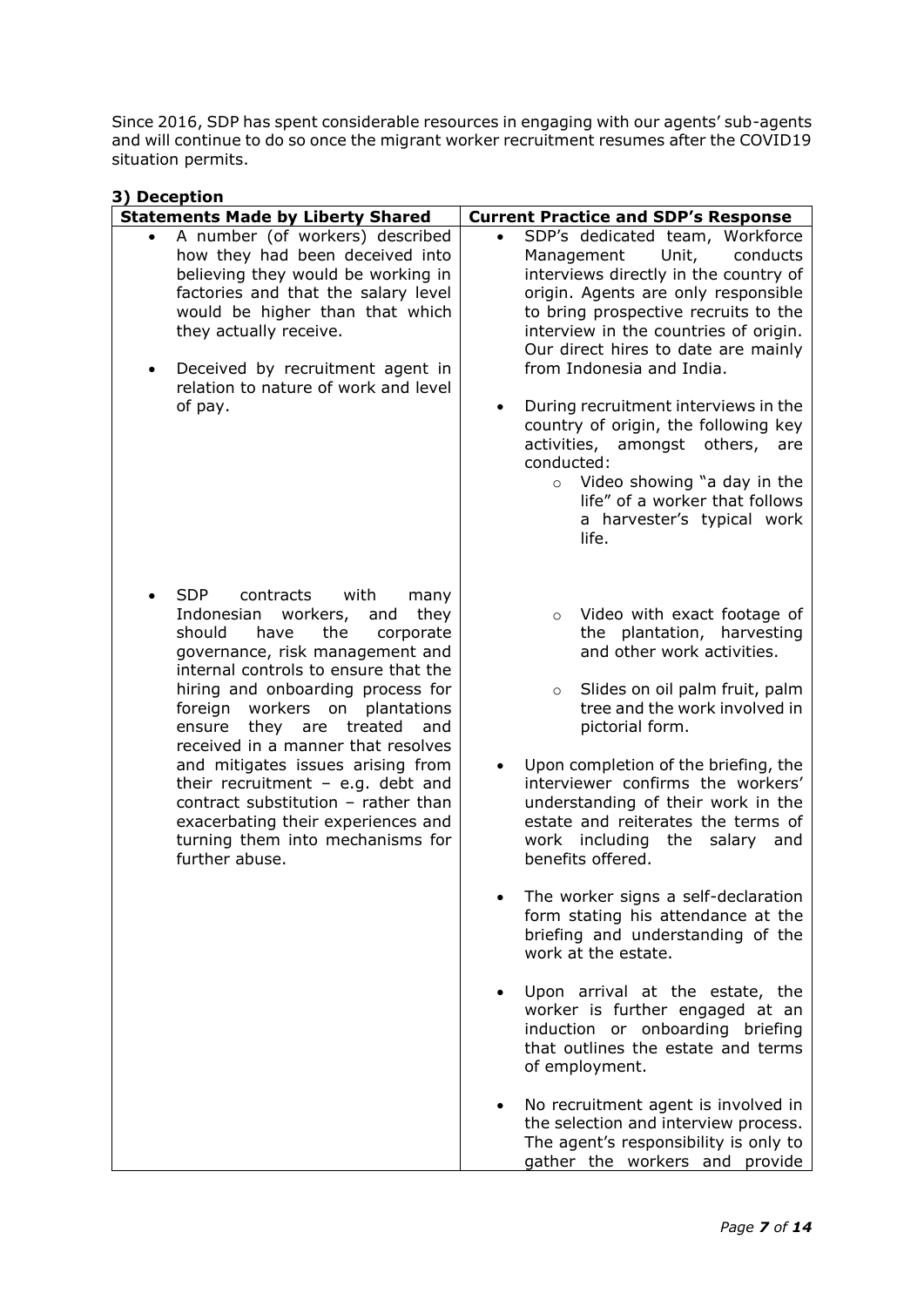Since 2016, SDP has spent considerable resources in engaging with our agents' sub-agents and will continue to do so once the migrant worker recruitment resumes after the COVID19 situation permits.

### **3) Deception**

| <b>Statements Made by Liberty Shared</b>                                                                                                                                                                                                                                                                                                                                                                                                                                                                                                                          | <b>Current Practice and SDP's Response</b>                                                                                                                                                                                                                                                                                                                                                                                                                                                                                                                                                                                                                                                                                                                                                                                                                                                    |
|-------------------------------------------------------------------------------------------------------------------------------------------------------------------------------------------------------------------------------------------------------------------------------------------------------------------------------------------------------------------------------------------------------------------------------------------------------------------------------------------------------------------------------------------------------------------|-----------------------------------------------------------------------------------------------------------------------------------------------------------------------------------------------------------------------------------------------------------------------------------------------------------------------------------------------------------------------------------------------------------------------------------------------------------------------------------------------------------------------------------------------------------------------------------------------------------------------------------------------------------------------------------------------------------------------------------------------------------------------------------------------------------------------------------------------------------------------------------------------|
| A number (of workers) described<br>how they had been deceived into<br>believing they would be working in<br>factories and that the salary level<br>would be higher than that which<br>they actually receive.                                                                                                                                                                                                                                                                                                                                                      | SDP's dedicated team, Workforce<br>Unit,<br>Management<br>conducts<br>interviews directly in the country of<br>origin. Agents are only responsible<br>to bring prospective recruits to the<br>interview in the countries of origin.<br>Our direct hires to date are mainly                                                                                                                                                                                                                                                                                                                                                                                                                                                                                                                                                                                                                    |
| Deceived by recruitment agent in<br>$\bullet$<br>relation to nature of work and level<br>of pay.                                                                                                                                                                                                                                                                                                                                                                                                                                                                  | from Indonesia and India.<br>During recruitment interviews in the<br>country of origin, the following key<br>activities, amongst others,<br>are<br>conducted:<br>o Video showing "a day in the<br>life" of a worker that follows<br>a harvester's typical work<br>life.                                                                                                                                                                                                                                                                                                                                                                                                                                                                                                                                                                                                                       |
| SDP<br>with<br>contracts<br>many<br>Indonesian<br>workers,<br>they<br>and<br>should<br>the<br>have<br>corporate<br>governance, risk management and<br>internal controls to ensure that the<br>hiring and onboarding process for<br>foreign workers<br>on plantations<br>they are<br>treated<br>ensure<br>and<br>received in a manner that resolves<br>and mitigates issues arising from<br>their recruitment $-$ e.g. debt and<br>contract substitution - rather than<br>exacerbating their experiences and<br>turning them into mechanisms for<br>further abuse. | Video with exact footage of<br>$\circ$<br>the plantation, harvesting<br>and other work activities.<br>Slides on oil palm fruit, palm<br>$\circ$<br>tree and the work involved in<br>pictorial form.<br>Upon completion of the briefing, the<br>interviewer confirms the workers'<br>understanding of their work in the<br>estate and reiterates the terms of<br>work including the<br>salary<br>and<br>benefits offered.<br>The worker signs a self-declaration<br>form stating his attendance at the<br>briefing and understanding of the<br>work at the estate.<br>Upon arrival at the estate, the<br>worker is further engaged at an<br>induction or onboarding briefing<br>that outlines the estate and terms<br>of employment.<br>No recruitment agent is involved in<br>the selection and interview process.<br>The agent's responsibility is only to<br>gather the workers and provide |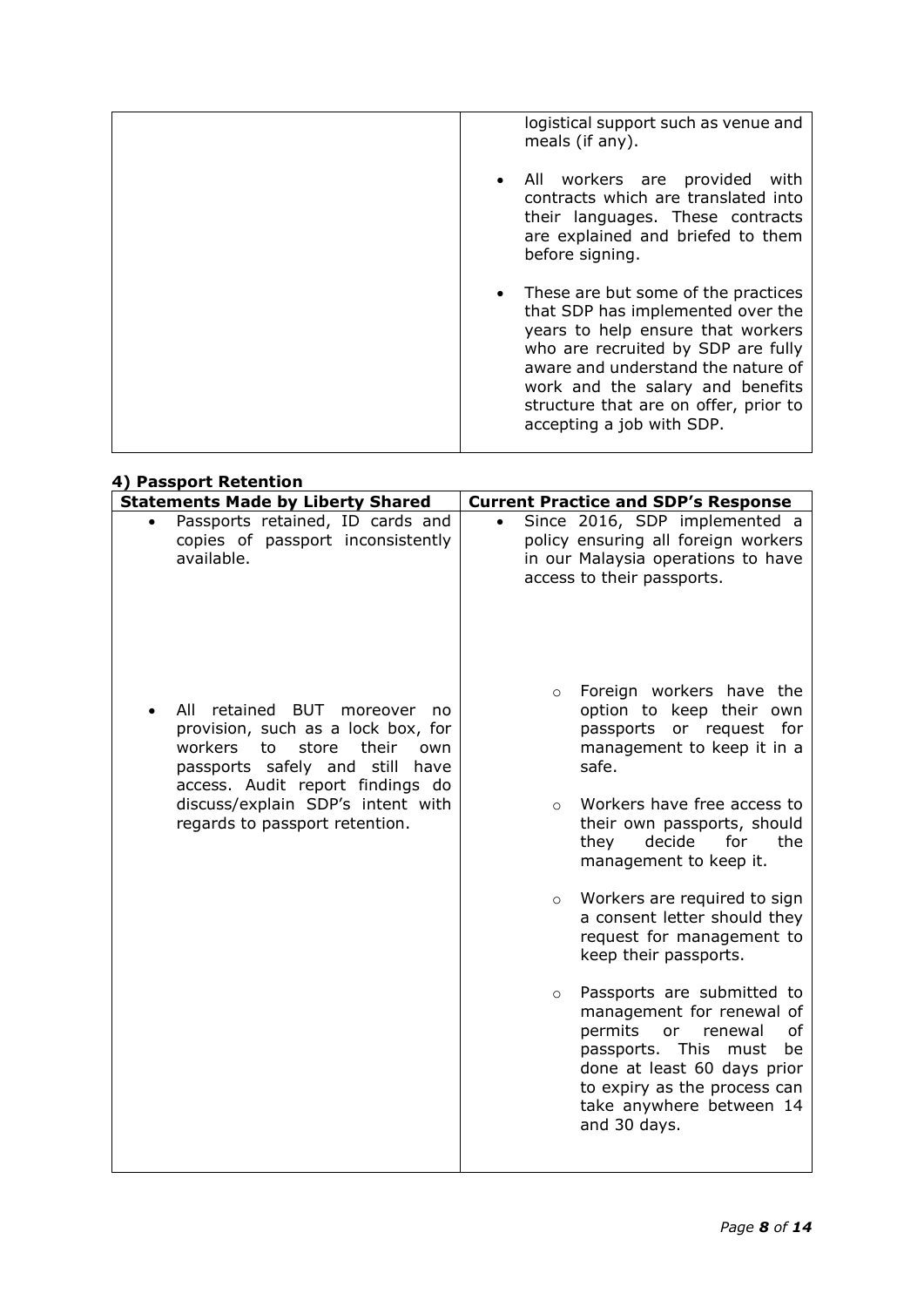| logistical support such as venue and<br>meals (if any).<br>• All workers are provided<br>with                                                                                                                                                                                                         |
|-------------------------------------------------------------------------------------------------------------------------------------------------------------------------------------------------------------------------------------------------------------------------------------------------------|
| contracts which are translated into<br>their languages. These contracts<br>are explained and briefed to them<br>before signing.                                                                                                                                                                       |
| • These are but some of the practices<br>that SDP has implemented over the<br>years to help ensure that workers<br>who are recruited by SDP are fully<br>aware and understand the nature of<br>work and the salary and benefits<br>structure that are on offer, prior to<br>accepting a job with SDP. |

### **4) Passport Retention**

| ו טאסטור ווענכוונוטוו<br><b>Statements Made by Liberty Shared</b>                                                                                                                                                                                                   | <b>Current Practice and SDP's Response</b>                                                                                                                                                                                                                                                                                                                                                                                                                                                                                                                                                                                                                 |
|---------------------------------------------------------------------------------------------------------------------------------------------------------------------------------------------------------------------------------------------------------------------|------------------------------------------------------------------------------------------------------------------------------------------------------------------------------------------------------------------------------------------------------------------------------------------------------------------------------------------------------------------------------------------------------------------------------------------------------------------------------------------------------------------------------------------------------------------------------------------------------------------------------------------------------------|
| Passports retained, ID cards and<br>copies of passport inconsistently<br>available.                                                                                                                                                                                 | Since 2016, SDP implemented a<br>policy ensuring all foreign workers<br>in our Malaysia operations to have<br>access to their passports.                                                                                                                                                                                                                                                                                                                                                                                                                                                                                                                   |
| All<br>retained BUT<br>moreover<br>no<br>provision, such as a lock box, for<br>workers<br>to<br>store<br>their<br>own<br>passports safely and still have<br>access. Audit report findings do<br>discuss/explain SDP's intent with<br>regards to passport retention. | Foreign workers have the<br>$\circ$<br>option to keep their own<br>passports or request for<br>management to keep it in a<br>safe.<br>Workers have free access to<br>$\circ$<br>their own passports, should<br>decide<br>for<br>the<br>they<br>management to keep it.<br>Workers are required to sign<br>$\circ$<br>a consent letter should they<br>request for management to<br>keep their passports.<br>Passports are submitted to<br>$\circ$<br>management for renewal of<br>permits<br>or<br>renewal<br>οf<br>passports. This<br>must<br>be<br>done at least 60 days prior<br>to expiry as the process can<br>take anywhere between 14<br>and 30 days. |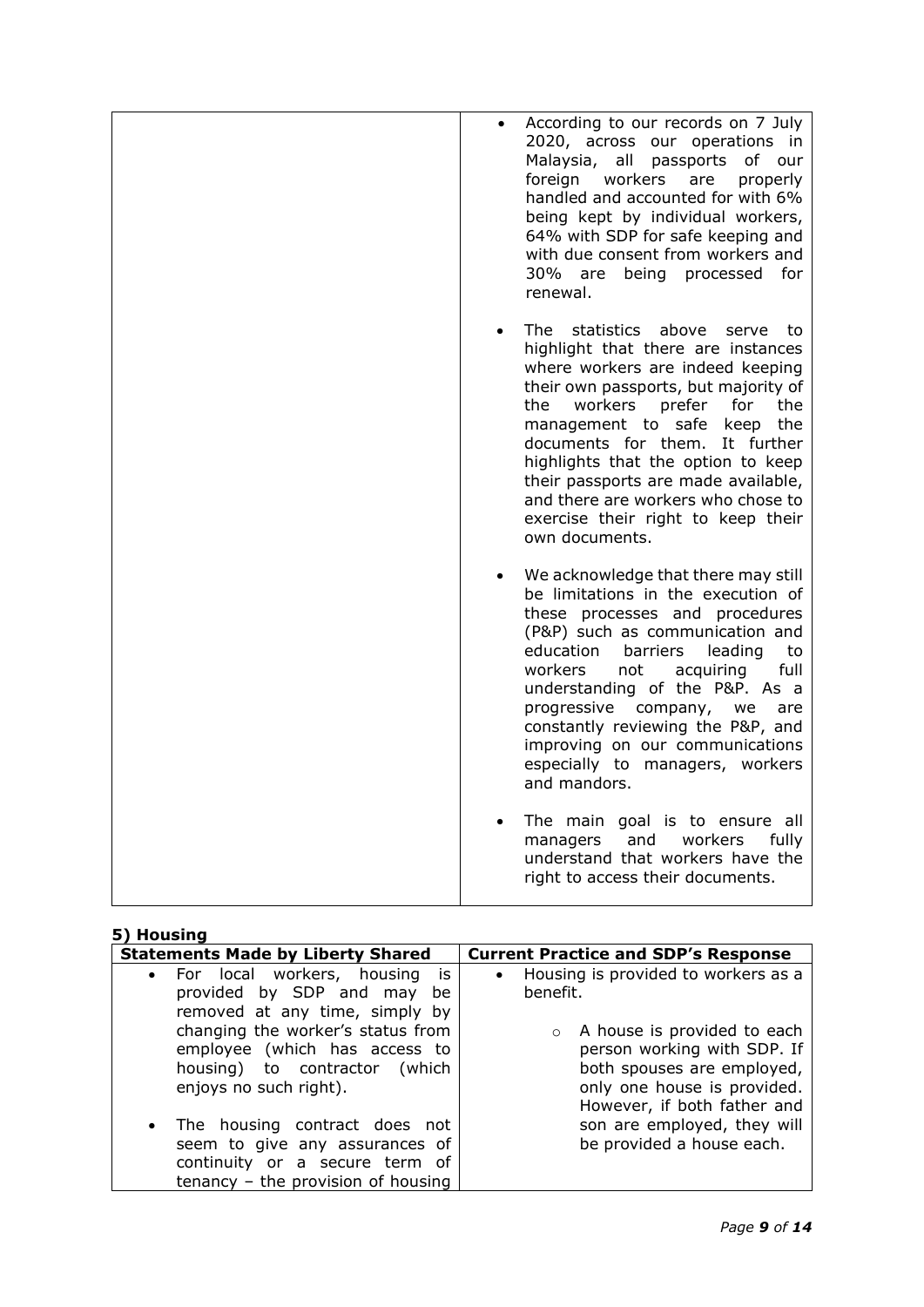| According to our records on 7 July<br>2020, across our operations in<br>Malaysia, all<br>passports of our<br>foreign<br>workers<br>are<br>properly<br>handled and accounted for with 6%<br>being kept by individual workers,<br>64% with SDP for safe keeping and<br>with due consent from workers and<br>30% are<br>being processed for<br>renewal.                                                                                              |
|---------------------------------------------------------------------------------------------------------------------------------------------------------------------------------------------------------------------------------------------------------------------------------------------------------------------------------------------------------------------------------------------------------------------------------------------------|
| The<br>statistics above<br>serve<br>to<br>highlight that there are instances<br>where workers are indeed keeping<br>their own passports, but majority of<br>the<br>the<br>workers prefer<br>for<br>the<br>management to safe<br>keep<br>documents for them. It further<br>highlights that the option to keep<br>their passports are made available,<br>and there are workers who chose to<br>exercise their right to keep their<br>own documents. |
| We acknowledge that there may still<br>be limitations in the execution of<br>these processes and procedures<br>(P&P) such as communication and<br>education<br>barriers<br>leading<br>to<br>workers<br>not<br>full<br>acquiring<br>understanding of the P&P. As a<br>progressive<br>company,<br>we<br>are<br>constantly reviewing the P&P, and<br>improving on our communications<br>especially to managers, workers<br>and mandors.              |
| The main goal is to ensure all<br>workers<br>fully<br>and<br>managers<br>understand that workers have the<br>right to access their documents.                                                                                                                                                                                                                                                                                                     |

# **5) Housing**

| <b>Statements Made by Liberty Shared</b>                                                                                                    | <b>Current Practice and SDP's Response</b>                                                                                                                     |
|---------------------------------------------------------------------------------------------------------------------------------------------|----------------------------------------------------------------------------------------------------------------------------------------------------------------|
| For local workers, housing<br>is.<br>$\bullet$<br>provided by SDP and may be<br>removed at any time, simply by                              | • Housing is provided to workers as a<br>benefit.                                                                                                              |
| changing the worker's status from<br>employee (which has access to<br>housing) to contractor (which<br>enjoys no such right).               | $\circ$ A house is provided to each<br>person working with SDP. If<br>both spouses are employed,<br>only one house is provided.<br>However, if both father and |
| • The housing contract does not<br>seem to give any assurances of<br>continuity or a secure term of<br>tenancy $-$ the provision of housing | son are employed, they will<br>be provided a house each.                                                                                                       |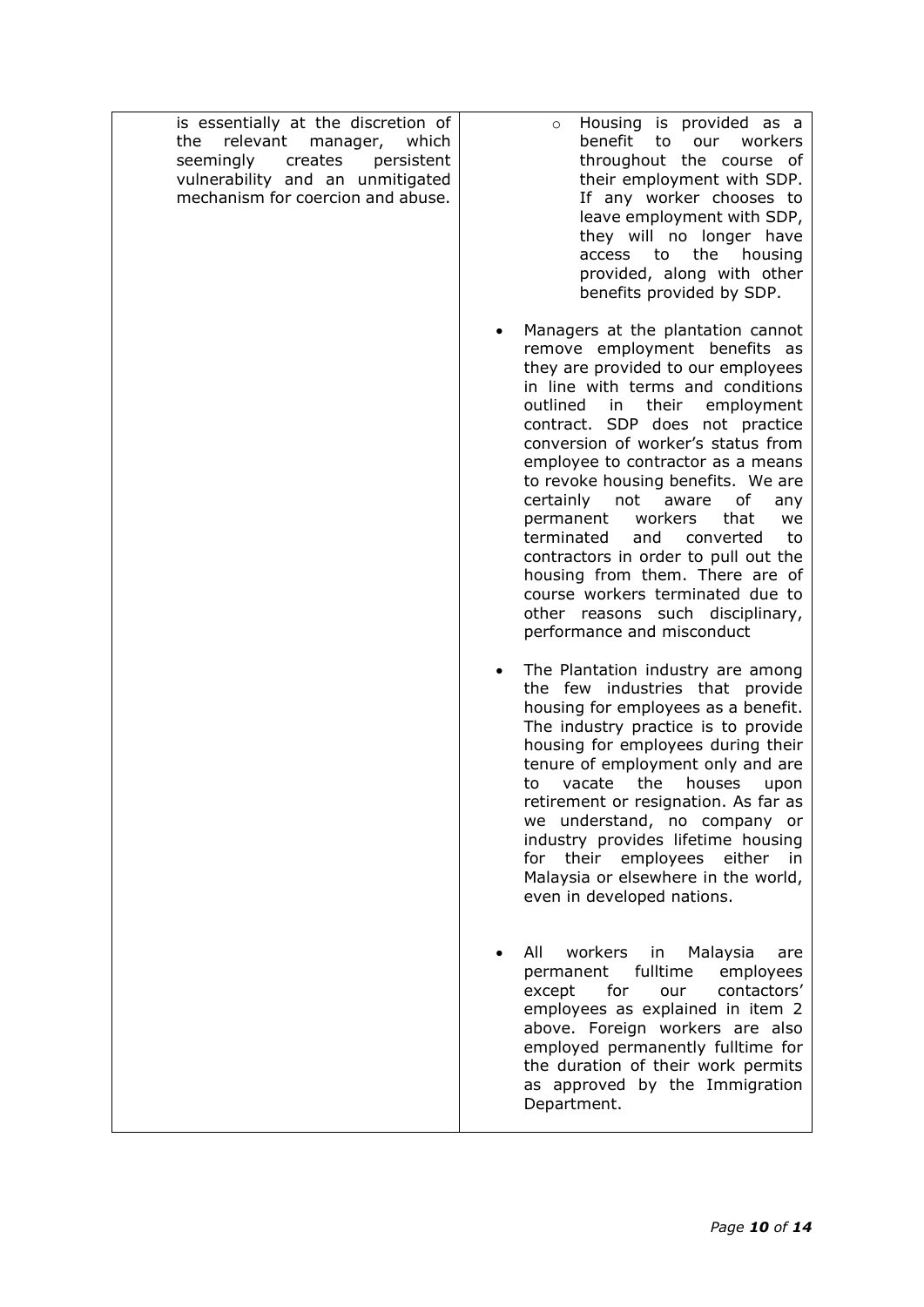| is essentially at the discretion of<br>relevant<br>the<br>manager,<br>which<br>seemingly<br>creates<br>persistent<br>vulnerability and an unmitigated<br>mechanism for coercion and abuse. | Housing is provided as a<br>$\circ$<br>benefit to<br>our workers<br>throughout the course of<br>their employment with SDP.<br>If any worker chooses to<br>leave employment with SDP,<br>they will no longer have<br>the<br>housing<br>access to<br>provided, along with other<br>benefits provided by SDP.                                                                                                                                                                                                                                                                                                                                    |
|--------------------------------------------------------------------------------------------------------------------------------------------------------------------------------------------|-----------------------------------------------------------------------------------------------------------------------------------------------------------------------------------------------------------------------------------------------------------------------------------------------------------------------------------------------------------------------------------------------------------------------------------------------------------------------------------------------------------------------------------------------------------------------------------------------------------------------------------------------|
|                                                                                                                                                                                            | Managers at the plantation cannot<br>remove employment benefits as<br>they are provided to our employees<br>in line with terms and conditions<br>outlined in<br>their employment<br>contract. SDP does not practice<br>conversion of worker's status from<br>employee to contractor as a means<br>to revoke housing benefits. We are<br>certainly<br>of<br>not<br>aware<br>any<br>permanent<br>workers<br>that<br>we<br>terminated<br>and<br>converted<br>to<br>contractors in order to pull out the<br>housing from them. There are of<br>course workers terminated due to<br>other reasons such disciplinary,<br>performance and misconduct |
|                                                                                                                                                                                            | The Plantation industry are among<br>the few industries that provide<br>housing for employees as a benefit.<br>The industry practice is to provide<br>housing for employees during their<br>tenure of employment only and are<br>vacate<br>the<br>houses<br>to<br>upon<br>retirement or resignation. As far as<br>we understand, no company or<br>industry provides lifetime housing<br>their employees<br>for<br>either<br>in in<br>Malaysia or elsewhere in the world,<br>even in developed nations.                                                                                                                                        |
|                                                                                                                                                                                            | All<br>workers<br>Malaysia<br>in<br>are<br>permanent fulltime<br>employees<br>contactors'<br>except<br>for<br>our<br>employees as explained in item 2<br>above. Foreign workers are also<br>employed permanently fulltime for<br>the duration of their work permits<br>as approved by the Immigration<br>Department.                                                                                                                                                                                                                                                                                                                          |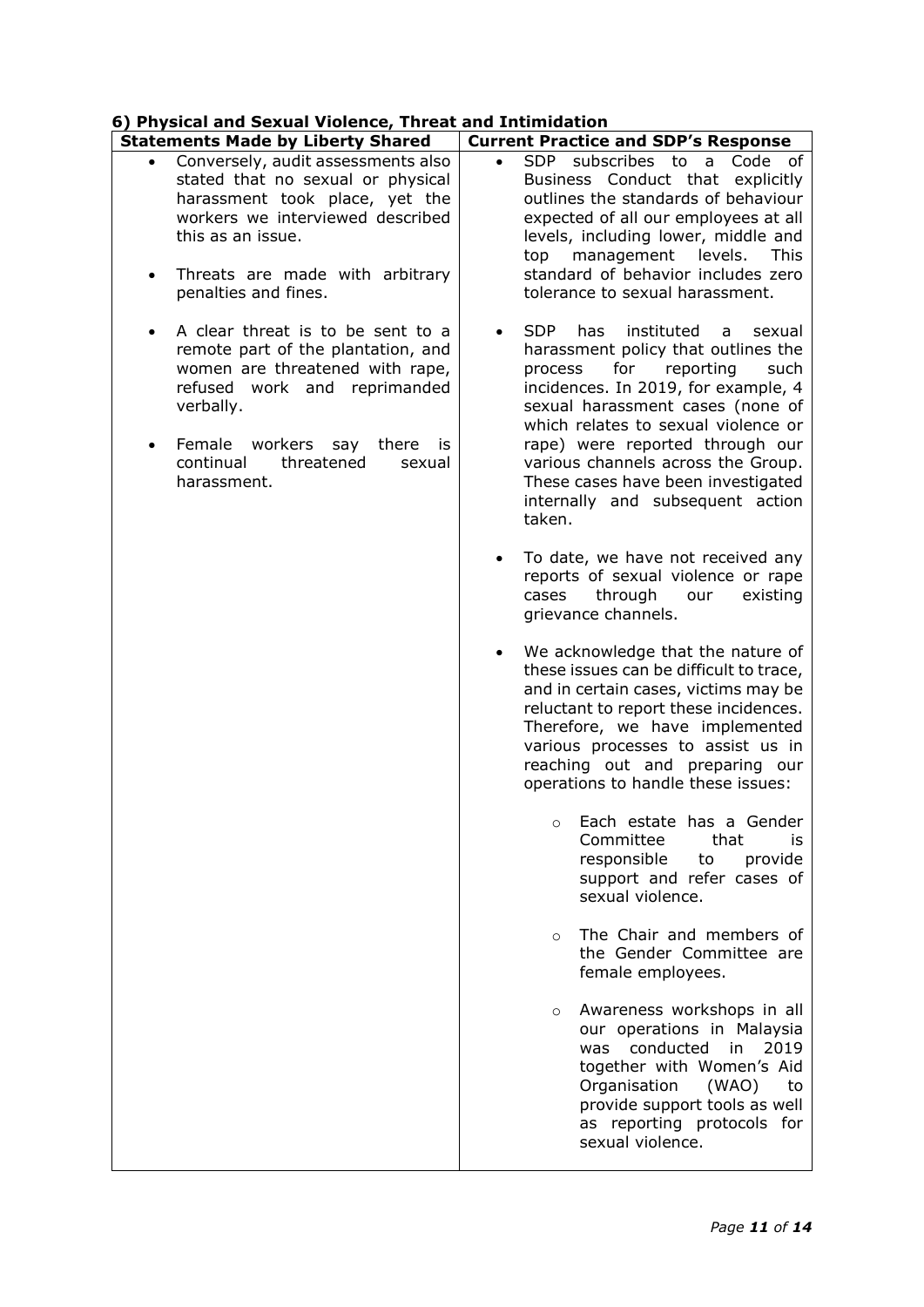### **6) Physical and Sexual Violence, Threat and Intimidation**

| o pringsical and Sexual violence, Threat and Intimidation<br><b>Statements Made by Liberty Shared</b>                                                                                                                                                               | <b>Current Practice and SDP's Response</b>                                                                                                                                                                                                                                                                                                                                                                  |
|---------------------------------------------------------------------------------------------------------------------------------------------------------------------------------------------------------------------------------------------------------------------|-------------------------------------------------------------------------------------------------------------------------------------------------------------------------------------------------------------------------------------------------------------------------------------------------------------------------------------------------------------------------------------------------------------|
| Conversely, audit assessments also<br>stated that no sexual or physical<br>harassment took place, yet the<br>workers we interviewed described<br>this as an issue.<br>Threats are made with arbitrary<br>penalties and fines.                                       | SDP subscribes to a Code of<br>Business Conduct that explicitly<br>outlines the standards of behaviour<br>expected of all our employees at all<br>levels, including lower, middle and<br>levels.<br>management<br>This<br>top<br>standard of behavior includes zero<br>tolerance to sexual harassment.                                                                                                      |
| A clear threat is to be sent to a<br>remote part of the plantation, and<br>women are threatened with rape,<br>refused work and reprimanded<br>verbally.<br>Female<br>workers<br>say<br>there<br>is<br>$\bullet$<br>continual<br>threatened<br>sexual<br>harassment. | <b>SDP</b><br>instituted<br>has<br>sexual<br>a<br>harassment policy that outlines the<br>for<br>reporting<br>such<br>process<br>incidences. In 2019, for example, 4<br>sexual harassment cases (none of<br>which relates to sexual violence or<br>rape) were reported through our<br>various channels across the Group.<br>These cases have been investigated<br>internally and subsequent action<br>taken. |
|                                                                                                                                                                                                                                                                     | To date, we have not received any<br>reports of sexual violence or rape<br>through<br>cases<br>existing<br>our<br>grievance channels.                                                                                                                                                                                                                                                                       |
|                                                                                                                                                                                                                                                                     | We acknowledge that the nature of<br>$\bullet$<br>these issues can be difficult to trace,<br>and in certain cases, victims may be<br>reluctant to report these incidences.<br>Therefore, we have implemented<br>various processes to assist us in<br>reaching out and preparing our<br>operations to handle these issues:                                                                                   |
|                                                                                                                                                                                                                                                                     | Each estate has a Gender<br>$\circ$<br>Committee<br>that<br>İS.<br>responsible<br>to<br>provide<br>support and refer cases of<br>sexual violence.                                                                                                                                                                                                                                                           |
|                                                                                                                                                                                                                                                                     | The Chair and members of<br>$\circ$<br>the Gender Committee are<br>female employees.                                                                                                                                                                                                                                                                                                                        |
|                                                                                                                                                                                                                                                                     | Awareness workshops in all<br>$\circ$<br>our operations in Malaysia<br>conducted<br>in<br>2019<br>was<br>together with Women's Aid<br>Organisation<br>(WAO)<br>to<br>provide support tools as well<br>as reporting protocols for<br>sexual violence.                                                                                                                                                        |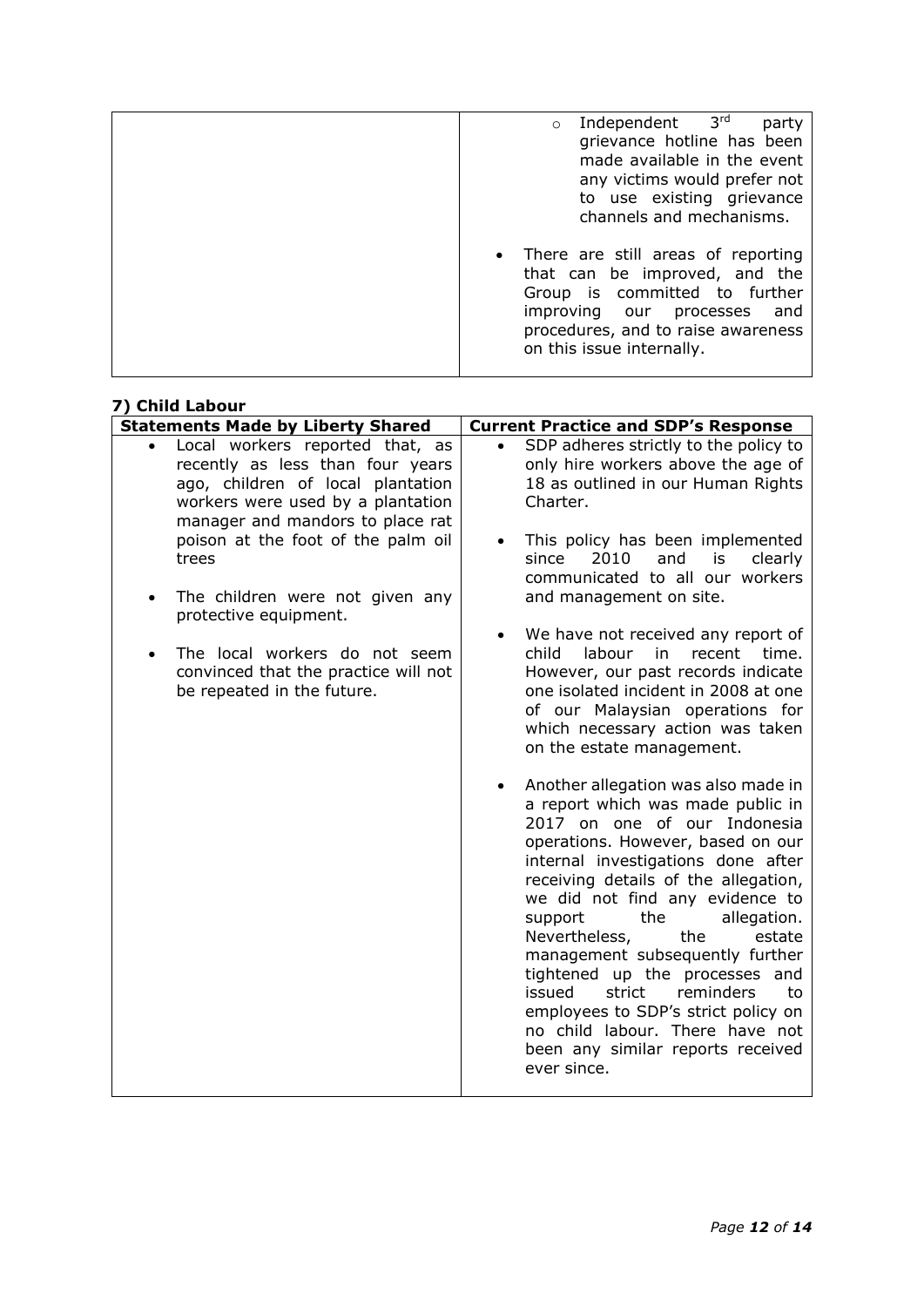| Independent 3rd<br>party<br>$\circ$<br>grievance hotline has been<br>made available in the event<br>any victims would prefer not<br>to use existing grievance                                                                              |
|--------------------------------------------------------------------------------------------------------------------------------------------------------------------------------------------------------------------------------------------|
| channels and mechanisms.<br>• There are still areas of reporting<br>that can be improved, and the<br>Group is committed to further<br>improving our<br>processes<br>and<br>procedures, and to raise awareness<br>on this issue internally. |

| 7) Child Labour                                                                                                                                                                                                                                                                                                                                                                                       |                                                                                                                                                                                                                                                                                                                                                                                                                                                                                                                                                                                                                                                                                                                                                                                                                                                                                                                                                                                                                                                                                                                                                                |
|-------------------------------------------------------------------------------------------------------------------------------------------------------------------------------------------------------------------------------------------------------------------------------------------------------------------------------------------------------------------------------------------------------|----------------------------------------------------------------------------------------------------------------------------------------------------------------------------------------------------------------------------------------------------------------------------------------------------------------------------------------------------------------------------------------------------------------------------------------------------------------------------------------------------------------------------------------------------------------------------------------------------------------------------------------------------------------------------------------------------------------------------------------------------------------------------------------------------------------------------------------------------------------------------------------------------------------------------------------------------------------------------------------------------------------------------------------------------------------------------------------------------------------------------------------------------------------|
| <b>Statements Made by Liberty Shared</b>                                                                                                                                                                                                                                                                                                                                                              | <b>Current Practice and SDP's Response</b>                                                                                                                                                                                                                                                                                                                                                                                                                                                                                                                                                                                                                                                                                                                                                                                                                                                                                                                                                                                                                                                                                                                     |
| • Local workers reported that, as<br>recently as less than four years<br>ago, children of local plantation<br>workers were used by a plantation<br>manager and mandors to place rat<br>poison at the foot of the palm oil<br>trees<br>The children were not given any<br>protective equipment.<br>The local workers do not seem<br>convinced that the practice will not<br>be repeated in the future. | SDP adheres strictly to the policy to<br>$\bullet$<br>only hire workers above the age of<br>18 as outlined in our Human Rights<br>Charter.<br>This policy has been implemented<br>2010<br>and<br>since<br>is<br>clearly<br>communicated to all our workers<br>and management on site.<br>We have not received any report of<br>child<br>labour<br>$\overline{\mathsf{in}}$<br>recent<br>time.<br>However, our past records indicate<br>one isolated incident in 2008 at one<br>of our Malaysian operations for<br>which necessary action was taken<br>on the estate management.<br>Another allegation was also made in<br>a report which was made public in<br>2017 on one of our Indonesia<br>operations. However, based on our<br>internal investigations done after<br>receiving details of the allegation,<br>we did not find any evidence to<br>the<br>allegation.<br>support<br>Nevertheless,<br>the<br>estate<br>management subsequently further<br>tightened up the processes and<br>strict<br>reminders<br>issued<br>to<br>employees to SDP's strict policy on<br>no child labour. There have not<br>been any similar reports received<br>ever since. |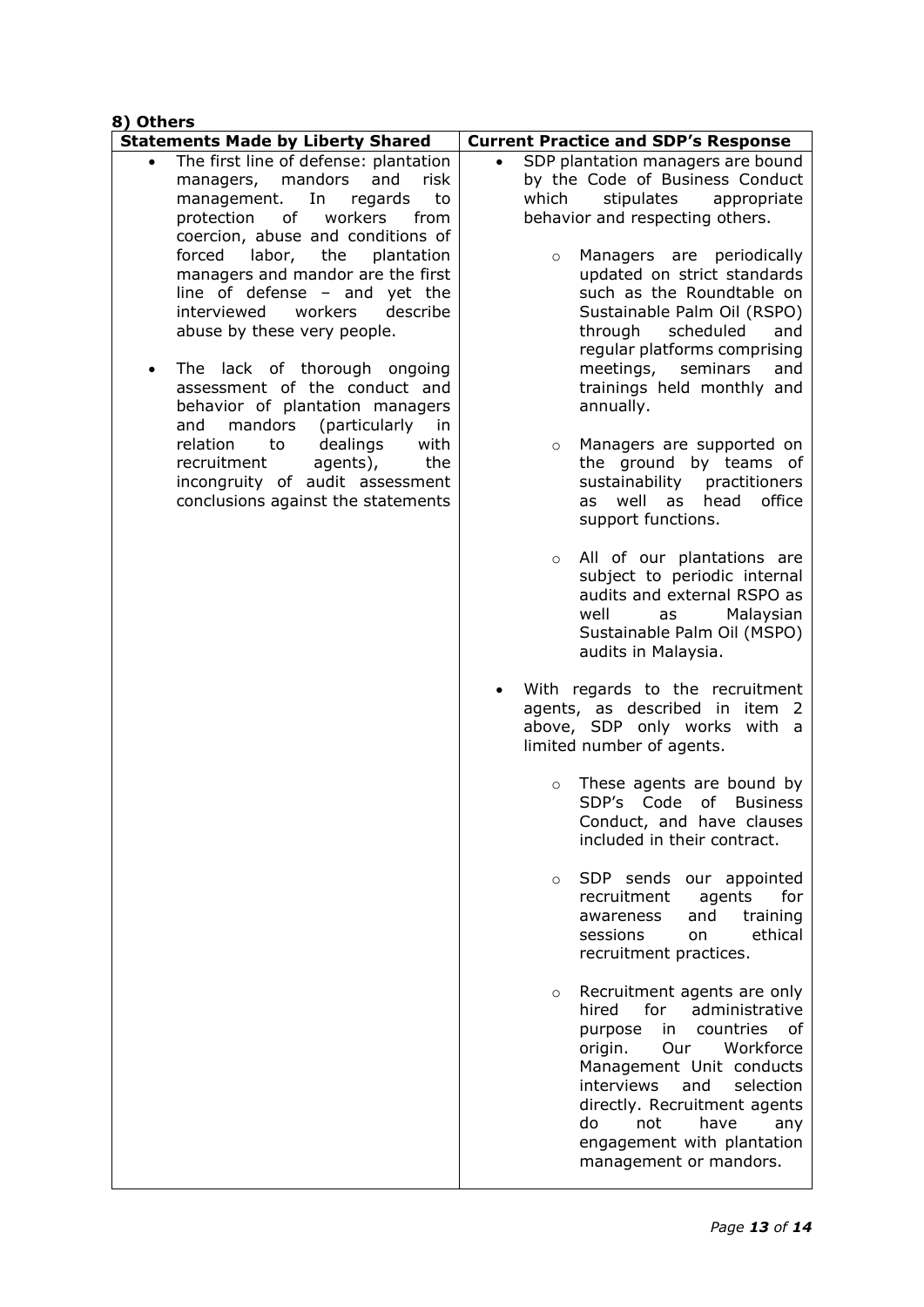| 8) Others                                                                                                                                                                                                                                                                                                                                                        |                                                                                                                                                                                                                                                                                                                               |
|------------------------------------------------------------------------------------------------------------------------------------------------------------------------------------------------------------------------------------------------------------------------------------------------------------------------------------------------------------------|-------------------------------------------------------------------------------------------------------------------------------------------------------------------------------------------------------------------------------------------------------------------------------------------------------------------------------|
| <b>Statements Made by Liberty Shared</b>                                                                                                                                                                                                                                                                                                                         | <b>Current Practice and SDP's Response</b>                                                                                                                                                                                                                                                                                    |
| The first line of defense: plantation<br>managers, mandors<br>and<br>risk<br>management.<br>In<br>regards<br>to<br>workers<br>protection<br>of<br>from<br>coercion, abuse and conditions of<br>labor, the<br>forced<br>plantation<br>managers and mandor are the first<br>line of defense - and yet the                                                          | SDP plantation managers are bound<br>$\bullet$<br>by the Code of Business Conduct<br>which<br>stipulates<br>appropriate<br>behavior and respecting others.<br>Managers are periodically<br>$\circ$<br>updated on strict standards<br>such as the Roundtable on                                                                |
| workers<br>describe<br>interviewed<br>abuse by these very people.<br>The lack of thorough ongoing<br>assessment of the conduct and<br>behavior of plantation managers<br>mandors<br>(particularly)<br>in<br>and<br>to<br>dealings<br>relation<br>with<br>recruitment<br>agents),<br>the<br>incongruity of audit assessment<br>conclusions against the statements | Sustainable Palm Oil (RSPO)<br>scheduled<br>and<br>through<br>regular platforms comprising<br>meetings, seminars<br>and<br>trainings held monthly and<br>annually.                                                                                                                                                            |
|                                                                                                                                                                                                                                                                                                                                                                  | Managers are supported on<br>$\circ$<br>the ground by teams of<br>sustainability practitioners<br>well<br>as<br>head<br>office<br>as<br>support functions.                                                                                                                                                                    |
|                                                                                                                                                                                                                                                                                                                                                                  | All of our plantations are<br>$\circ$<br>subject to periodic internal<br>audits and external RSPO as<br>Malaysian<br>well<br>as<br>Sustainable Palm Oil (MSPO)<br>audits in Malaysia.                                                                                                                                         |
|                                                                                                                                                                                                                                                                                                                                                                  | With regards to the recruitment<br>agents, as described in item 2<br>above, SDP only works<br>with a<br>limited number of agents.                                                                                                                                                                                             |
|                                                                                                                                                                                                                                                                                                                                                                  | These agents are bound by<br>$\circ$<br>SDP's Code of Business<br>Conduct, and have clauses<br>included in their contract.                                                                                                                                                                                                    |
|                                                                                                                                                                                                                                                                                                                                                                  | SDP sends our appointed<br>$\circ$<br>recruitment<br>for<br>agents<br>training<br>awareness<br>and<br>ethical<br>sessions<br>on<br>recruitment practices.                                                                                                                                                                     |
|                                                                                                                                                                                                                                                                                                                                                                  | Recruitment agents are only<br>$\circ$<br>for<br>administrative<br>hired<br>countries<br>оf<br>purpose<br>in<br>origin.<br>Our<br>Workforce<br>Management Unit conducts<br>interviews<br>and<br>selection<br>directly. Recruitment agents<br>not<br>have<br>do<br>any<br>engagement with plantation<br>management or mandors. |